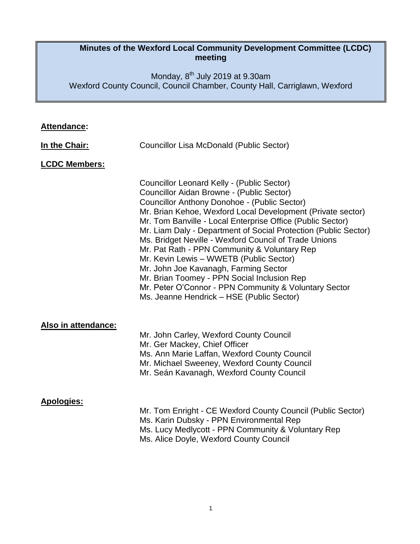#### **Minutes of the Wexford Local Community Development Committee (LCDC) meeting**

Monday, 8<sup>th</sup> July 2019 at 9.30am Wexford County Council, Council Chamber, County Hall, Carriglawn, Wexford

# **Attendance:**

| In the Chair:        | Councillor Lisa McDonald (Public Sector)                                                                                                                                                                                                                                                                                                                                                                                                                                                                                                                                                                                                                                                         |
|----------------------|--------------------------------------------------------------------------------------------------------------------------------------------------------------------------------------------------------------------------------------------------------------------------------------------------------------------------------------------------------------------------------------------------------------------------------------------------------------------------------------------------------------------------------------------------------------------------------------------------------------------------------------------------------------------------------------------------|
| <b>LCDC Members:</b> |                                                                                                                                                                                                                                                                                                                                                                                                                                                                                                                                                                                                                                                                                                  |
|                      | Councillor Leonard Kelly - (Public Sector)<br>Councillor Aidan Browne - (Public Sector)<br><b>Councillor Anthony Donohoe - (Public Sector)</b><br>Mr. Brian Kehoe, Wexford Local Development (Private sector)<br>Mr. Tom Banville - Local Enterprise Office (Public Sector)<br>Mr. Liam Daly - Department of Social Protection (Public Sector)<br>Ms. Bridget Neville - Wexford Council of Trade Unions<br>Mr. Pat Rath - PPN Community & Voluntary Rep<br>Mr. Kevin Lewis - WWETB (Public Sector)<br>Mr. John Joe Kavanagh, Farming Sector<br>Mr. Brian Toomey - PPN Social Inclusion Rep<br>Mr. Peter O'Connor - PPN Community & Voluntary Sector<br>Ms. Jeanne Hendrick - HSE (Public Sector) |
| Also in attendance:  | Mr. John Carley, Wexford County Council<br>Mr. Ger Mackey, Chief Officer<br>Ms. Ann Marie Laffan, Wexford County Council<br>Mr. Michael Sweeney, Wexford County Council<br>Mr. Seán Kavanagh, Wexford County Council                                                                                                                                                                                                                                                                                                                                                                                                                                                                             |
| <b>Apologies:</b>    | Mr. Tom Enright - CE Wexford County Council (Public Sector)<br>Ms. Karin Dubsky - PPN Environmental Rep<br>Ms. Lucy Medlycott - PPN Community & Voluntary Rep<br>Ms. Alice Doyle, Wexford County Council                                                                                                                                                                                                                                                                                                                                                                                                                                                                                         |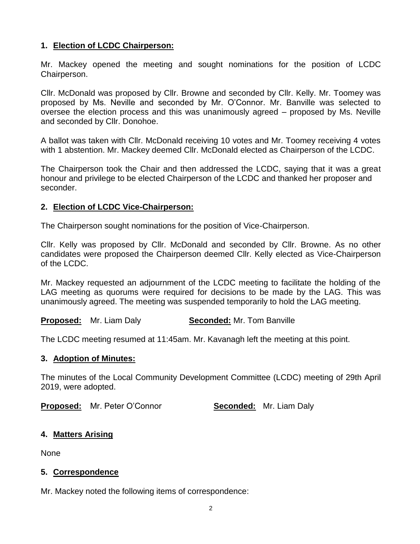#### **1. Election of LCDC Chairperson:**

Mr. Mackey opened the meeting and sought nominations for the position of LCDC Chairperson.

Cllr. McDonald was proposed by Cllr. Browne and seconded by Cllr. Kelly. Mr. Toomey was proposed by Ms. Neville and seconded by Mr. O'Connor. Mr. Banville was selected to oversee the election process and this was unanimously agreed – proposed by Ms. Neville and seconded by Cllr. Donohoe.

A ballot was taken with Cllr. McDonald receiving 10 votes and Mr. Toomey receiving 4 votes with 1 abstention. Mr. Mackey deemed Cllr. McDonald elected as Chairperson of the LCDC.

The Chairperson took the Chair and then addressed the LCDC, saying that it was a great honour and privilege to be elected Chairperson of the LCDC and thanked her proposer and seconder.

#### **2. Election of LCDC Vice-Chairperson:**

The Chairperson sought nominations for the position of Vice-Chairperson.

Cllr. Kelly was proposed by Cllr. McDonald and seconded by Cllr. Browne. As no other candidates were proposed the Chairperson deemed Cllr. Kelly elected as Vice-Chairperson of the LCDC.

Mr. Mackey requested an adjournment of the LCDC meeting to facilitate the holding of the LAG meeting as quorums were required for decisions to be made by the LAG. This was unanimously agreed. The meeting was suspended temporarily to hold the LAG meeting.

**Proposed:** Mr. Liam Daly **Seconded:** Mr. Tom Banville

The LCDC meeting resumed at 11:45am. Mr. Kavanagh left the meeting at this point.

#### **3. Adoption of Minutes:**

The minutes of the Local Community Development Committee (LCDC) meeting of 29th April 2019, were adopted.

**Proposed:** Mr. Peter O'Connor **Seconded:** Mr. Liam Daly

## **4. Matters Arising**

None

## **5. Correspondence**

Mr. Mackey noted the following items of correspondence: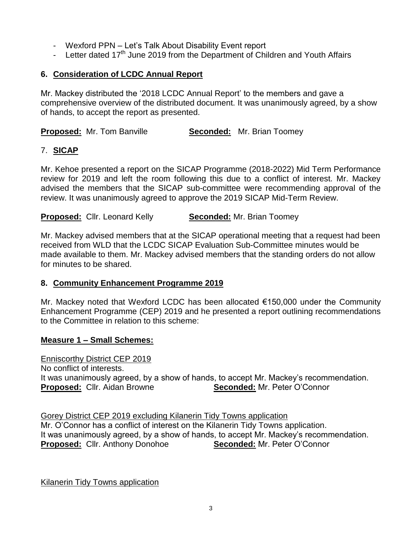- Wexford PPN Let's Talk About Disability Event report
- Letter dated  $17<sup>th</sup>$  June 2019 from the Department of Children and Youth Affairs

## **6. Consideration of LCDC Annual Report**

Mr. Mackey distributed the '2018 LCDC Annual Report' to the members and gave a comprehensive overview of the distributed document. It was unanimously agreed, by a show of hands, to accept the report as presented.

**Proposed:** Mr. Tom Banville **Seconded:** Mr. Brian Toomey

## 7. **SICAP**

Mr. Kehoe presented a report on the SICAP Programme (2018-2022) Mid Term Performance review for 2019 and left the room following this due to a conflict of interest. Mr. Mackey advised the members that the SICAP sub-committee were recommending approval of the review. It was unanimously agreed to approve the 2019 SICAP Mid-Term Review.

**Proposed:** Cllr. Leonard Kelly **Seconded:** Mr. Brian Toomey

Mr. Mackey advised members that at the SICAP operational meeting that a request had been received from WLD that the LCDC SICAP Evaluation Sub-Committee minutes would be made available to them. Mr. Mackey advised members that the standing orders do not allow for minutes to be shared.

## **8. Community Enhancement Programme 2019**

Mr. Mackey noted that Wexford LCDC has been allocated €150,000 under the Community Enhancement Programme (CEP) 2019 and he presented a report outlining recommendations to the Committee in relation to this scheme:

## **Measure 1 – Small Schemes:**

Enniscorthy District CEP 2019 No conflict of interests. It was unanimously agreed, by a show of hands, to accept Mr. Mackey's recommendation. **Proposed:** Cllr. Aidan Browne **Seconded:** Mr. Peter O'Connor

Gorey District CEP 2019 excluding Kilanerin Tidy Towns application Mr. O'Connor has a conflict of interest on the Kilanerin Tidy Towns application. It was unanimously agreed, by a show of hands, to accept Mr. Mackey's recommendation. **Proposed:** Cllr. Anthony Donohoe **Seconded:** Mr. Peter O'Connor

Kilanerin Tidy Towns application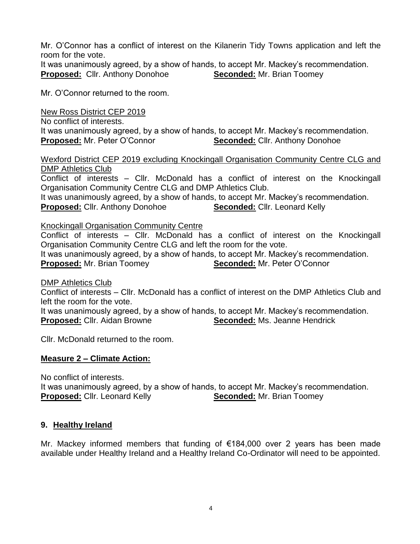Mr. O'Connor has a conflict of interest on the Kilanerin Tidy Towns application and left the room for the vote.

It was unanimously agreed, by a show of hands, to accept Mr. Mackey's recommendation. **Proposed:** Cllr. Anthony Donohoe **Seconded:** Mr. Brian Toomey

Mr. O'Connor returned to the room.

New Ross District CEP 2019 No conflict of interests. It was unanimously agreed, by a show of hands, to accept Mr. Mackey's recommendation. **Proposed:** Mr. Peter O'Connor **Seconded:** Cllr. Anthony Donohoe

Wexford District CEP 2019 excluding Knockingall Organisation Community Centre CLG and DMP Athletics Club

Conflict of interests – Cllr. McDonald has a conflict of interest on the Knockingall Organisation Community Centre CLG and DMP Athletics Club.

It was unanimously agreed, by a show of hands, to accept Mr. Mackey's recommendation. **Proposed:** Cllr. Anthony Donohoe **Seconded:** Cllr. Leonard Kelly

#### Knockingall Organisation Community Centre

Conflict of interests – Cllr. McDonald has a conflict of interest on the Knockingall Organisation Community Centre CLG and left the room for the vote. It was unanimously agreed, by a show of hands, to accept Mr. Mackey's recommendation.

**Proposed:** Mr. Brian Toomey **Seconded:** Mr. Peter O'Connor

DMP Athletics Club

Conflict of interests – Cllr. McDonald has a conflict of interest on the DMP Athletics Club and left the room for the vote.

It was unanimously agreed, by a show of hands, to accept Mr. Mackey's recommendation. **Proposed:** Cllr. Aidan Browne **Seconded:** Ms. Jeanne Hendrick

Cllr. McDonald returned to the room.

## **Measure 2 – Climate Action:**

No conflict of interests.

It was unanimously agreed, by a show of hands, to accept Mr. Mackey's recommendation. **Proposed:** Cllr. Leonard Kelly **Seconded:** Mr. Brian Toomey

## **9. Healthy Ireland**

Mr. Mackey informed members that funding of €184,000 over 2 years has been made available under Healthy Ireland and a Healthy Ireland Co-Ordinator will need to be appointed.